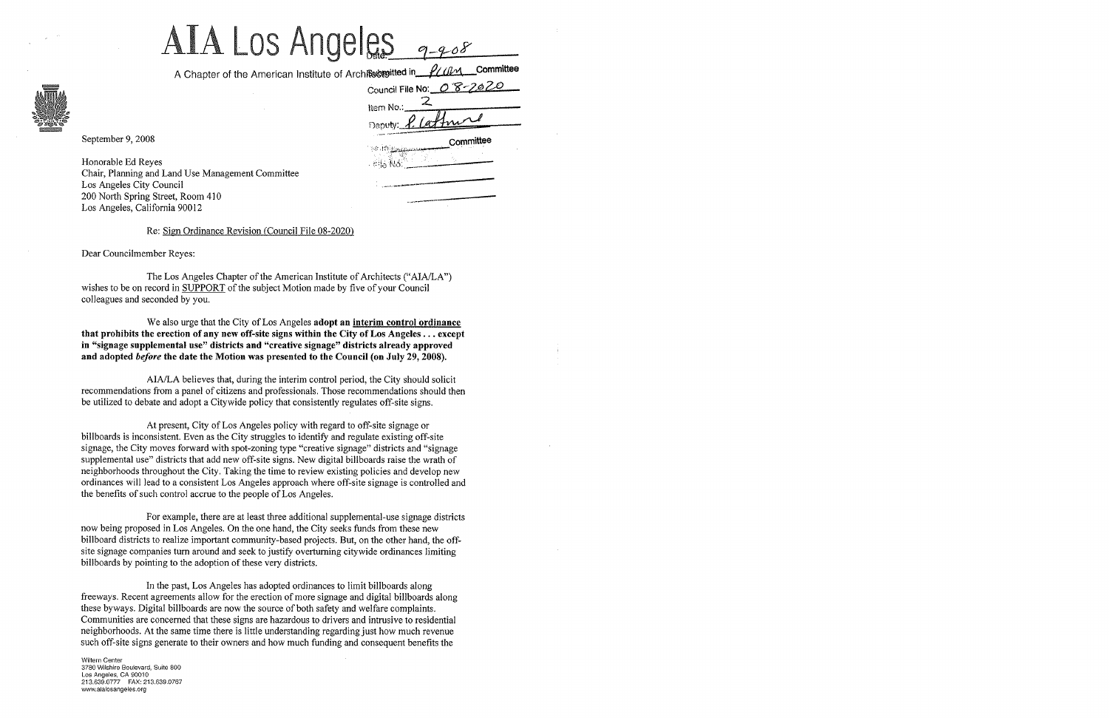## $ALA$  LOS Angeles  $q_{-}q_{-}$ os

A Chapter of the American Institute of Archite by sitted in

|                        | Council File No: 08-2020 |           |  |  |  |
|------------------------|--------------------------|-----------|--|--|--|
| Item No.:              |                          |           |  |  |  |
| Deputy: <i>P. La</i> z |                          |           |  |  |  |
| <b>Paralettia</b>      |                          | Committee |  |  |  |
| . 西信限6                 |                          |           |  |  |  |
|                        |                          |           |  |  |  |
|                        |                          |           |  |  |  |

September 9, 2008

Honorable Ed Reyes Chair, Planning and Land Use Management Committee Los Angeles City Council 200 North Spring Street, Room 410 Los Angeles, California 90012

## Re: Sign Ordinance Revision (Council File 08-2020)

Dear Councilmember Reyes:

The Los Angeles Chapter of the American Institute of Architects ("AlA/LA") wishes to be on record in SUPPORT of the subject Motion made by five of your Council colleagues and seconded by you.

We also urge that the City of Los Angeles adopt an interim control ordinance that prohibits the erection of any new off-site signs within the City of Los Angeles ... except in "signage supplemental use" districts and "creative siguage" districts already approved and adopted *before* the date the Motion was presented to the Council (on July 29, 2008).

AlA/LA believes that, during the interim control period, the City should solicit recommendations from a panel of citizens and professionals. Those recommendations should then be utilized to debate and adopt a Citywide policy that consistently regulates off-site signs.

At present, City of Los Angeles policy with regard to off-site signage or billboards is inconsistent. Even as the City struggles to identify and regulate existing off-site signage, the City moves forward with spot-zoning type "creative signage" districts and "signage supplemental use" districts that add new off-site signs. New digital billboards raise the wrath of neighborhoods throughout the City. Taking the time to review existing policies and develop new ordinances will lead to a consistent Los Angeles approach where off-site signage is controlled and the benefits of such control accrue to the people of Los Angeles.

For example, there are at least three additional supplemental-use signage districts now being proposed in Los Angeles. On the one hand, the City seeks funds from these new billboard districts to realize important community-based projects. But, on the other hand, the offsite signage companies turn around and seek to justify overturning citywide ordinances limiting billboards by pointing to the adoption of these very districts.

In the past, Los Angeles has adopted ordinances to limit billboards along freeways. Recent agreements allow for the erection of more signage and digital billboards along these byways. Digital billboards are now the source of both safety and welfare complaints. Communities are concerned that these signs are hazardous to drivers and intrusive to residential neighborhoods. At the same time there is little understanding regarding just how much revenue such off-site signs generate to their owners and how much funding and consequent benefits the